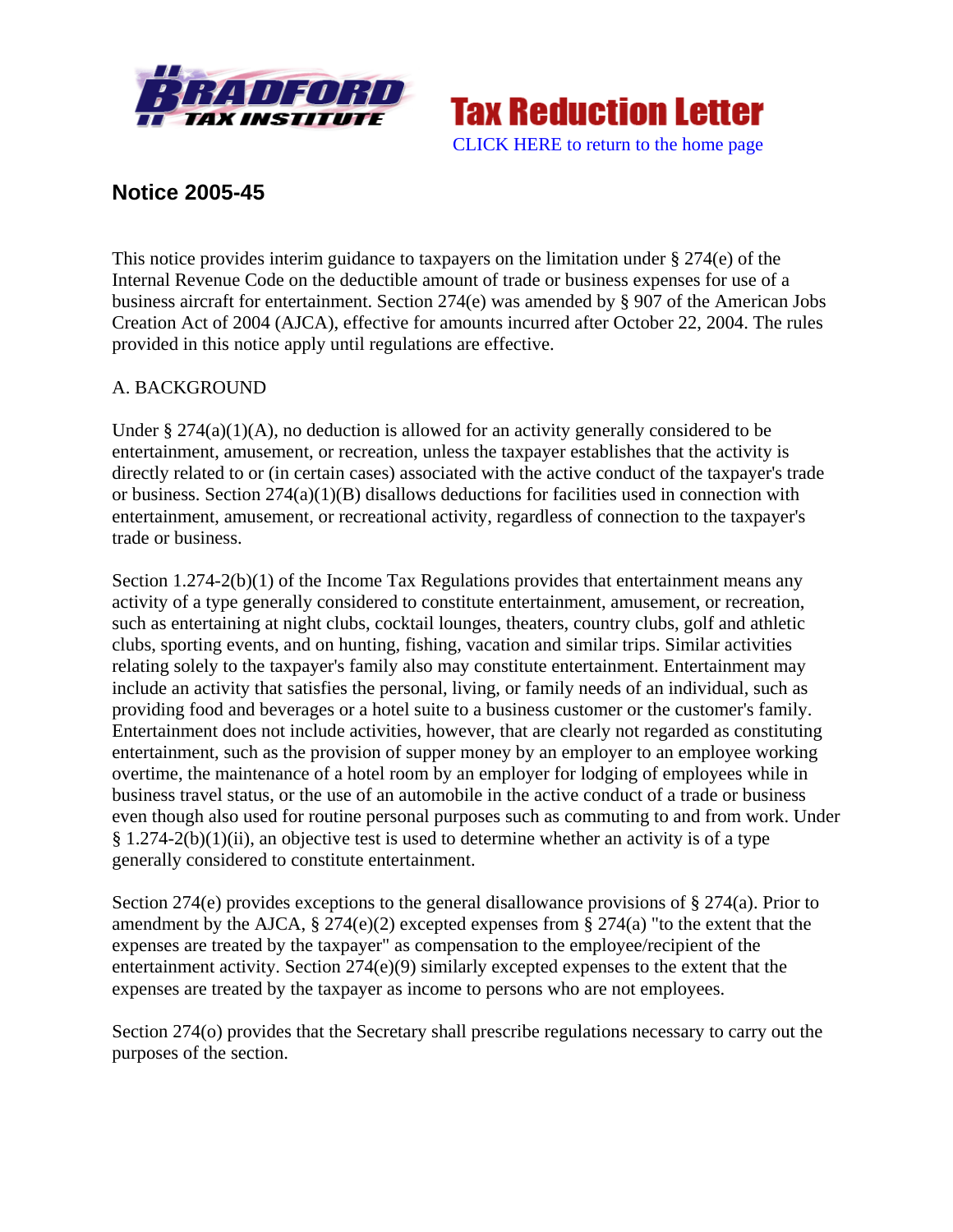



# **Notice 2005-45**

This notice provides interim guidance to taxpayers on the limitation under § 274(e) of the Internal Revenue Code on the deductible amount of trade or business expenses for use of a business aircraft for entertainment. Section 274(e) was amended by § 907 of the American Jobs Creation Act of 2004 (AJCA), effective for amounts incurred after October 22, 2004. The rules provided in this notice apply until regulations are effective.

# A. BACKGROUND

Under  $\S 274(a)(1)(A)$ , no deduction is allowed for an activity generally considered to be entertainment, amusement, or recreation, unless the taxpayer establishes that the activity is directly related to or (in certain cases) associated with the active conduct of the taxpayer's trade or business. Section 274(a)(1)(B) disallows deductions for facilities used in connection with entertainment, amusement, or recreational activity, regardless of connection to the taxpayer's trade or business.

Section 1.274-2(b)(1) of the Income Tax Regulations provides that entertainment means any activity of a type generally considered to constitute entertainment, amusement, or recreation, such as entertaining at night clubs, cocktail lounges, theaters, country clubs, golf and athletic clubs, sporting events, and on hunting, fishing, vacation and similar trips. Similar activities relating solely to the taxpayer's family also may constitute entertainment. Entertainment may include an activity that satisfies the personal, living, or family needs of an individual, such as providing food and beverages or a hotel suite to a business customer or the customer's family. Entertainment does not include activities, however, that are clearly not regarded as constituting entertainment, such as the provision of supper money by an employer to an employee working overtime, the maintenance of a hotel room by an employer for lodging of employees while in business travel status, or the use of an automobile in the active conduct of a trade or business even though also used for routine personal purposes such as commuting to and from work. Under § 1.274-2(b)(1)(ii), an objective test is used to determine whether an activity is of a type generally considered to constitute entertainment.

Section 274(e) provides exceptions to the general disallowance provisions of § 274(a). Prior to amendment by the AJCA,  $\S 274(e)(2)$  excepted expenses from  $\S 274(a)$  "to the extent that the expenses are treated by the taxpayer" as compensation to the employee/recipient of the entertainment activity. Section 274(e)(9) similarly excepted expenses to the extent that the expenses are treated by the taxpayer as income to persons who are not employees.

Section 274(o) provides that the Secretary shall prescribe regulations necessary to carry out the purposes of the section.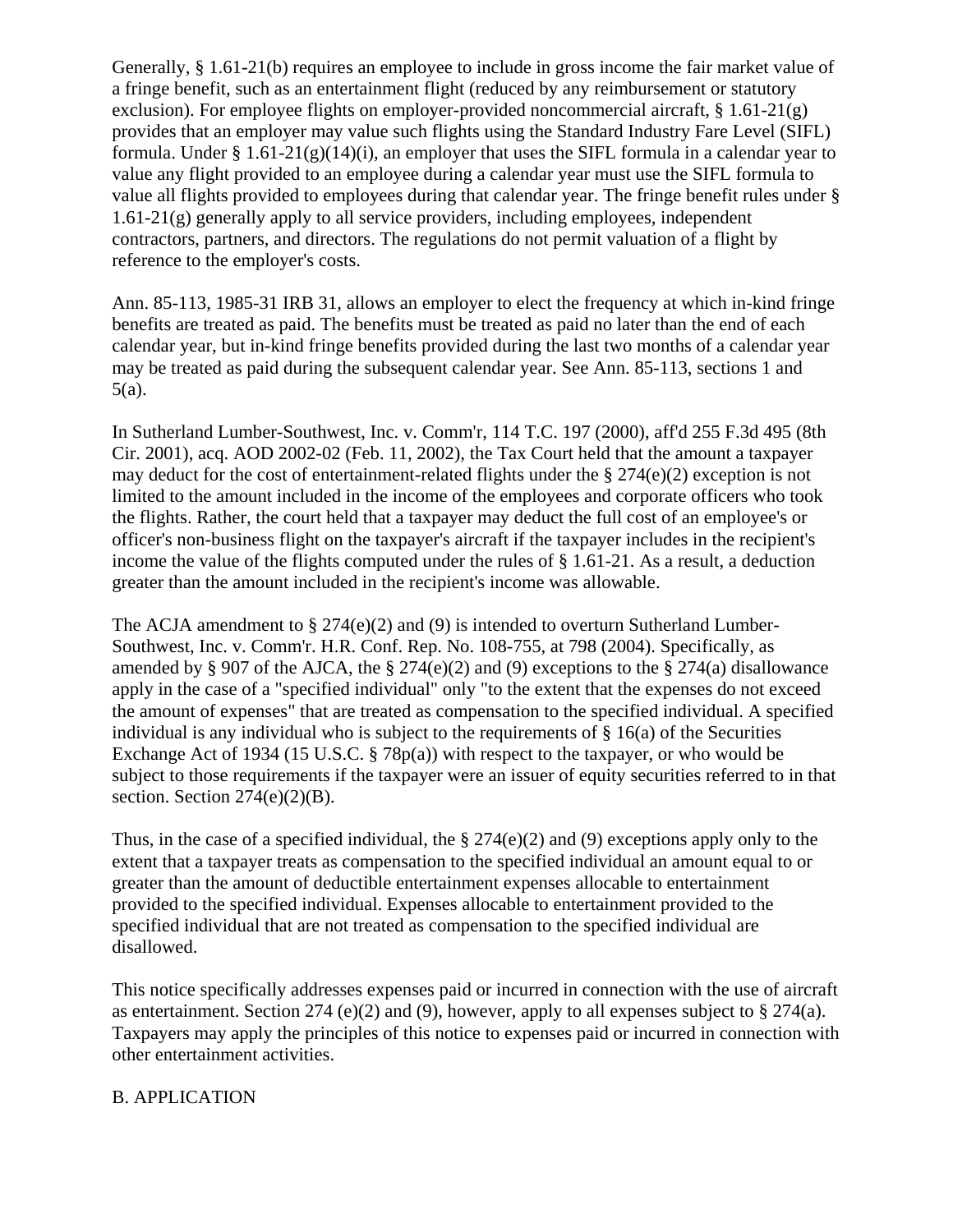Generally, § 1.61-21(b) requires an employee to include in gross income the fair market value of a fringe benefit, such as an entertainment flight (reduced by any reimbursement or statutory exclusion). For employee flights on employer-provided noncommercial aircraft,  $\S 1.61-21(g)$ provides that an employer may value such flights using the Standard Industry Fare Level (SIFL) formula. Under  $\S 1.61-21(g)(14)(i)$ , an employer that uses the SIFL formula in a calendar year to value any flight provided to an employee during a calendar year must use the SIFL formula to value all flights provided to employees during that calendar year. The fringe benefit rules under §  $1.61-21(g)$  generally apply to all service providers, including employees, independent contractors, partners, and directors. The regulations do not permit valuation of a flight by reference to the employer's costs.

Ann. 85-113, 1985-31 IRB 31, allows an employer to elect the frequency at which in-kind fringe benefits are treated as paid. The benefits must be treated as paid no later than the end of each calendar year, but in-kind fringe benefits provided during the last two months of a calendar year may be treated as paid during the subsequent calendar year. See Ann. 85-113, sections 1 and 5(a).

In Sutherland Lumber-Southwest, Inc. v. Comm'r, 114 T.C. 197 (2000), aff'd 255 F.3d 495 (8th Cir. 2001), acq. AOD 2002-02 (Feb. 11, 2002), the Tax Court held that the amount a taxpayer may deduct for the cost of entertainment-related flights under the § 274(e)(2) exception is not limited to the amount included in the income of the employees and corporate officers who took the flights. Rather, the court held that a taxpayer may deduct the full cost of an employee's or officer's non-business flight on the taxpayer's aircraft if the taxpayer includes in the recipient's income the value of the flights computed under the rules of  $\S$  1.61-21. As a result, a deduction greater than the amount included in the recipient's income was allowable.

The ACJA amendment to  $\S 274(e)(2)$  and (9) is intended to overturn Sutherland Lumber-Southwest, Inc. v. Comm'r. H.R. Conf. Rep. No. 108-755, at 798 (2004). Specifically, as amended by § 907 of the AJCA, the § 274(e)(2) and (9) exceptions to the § 274(a) disallowance apply in the case of a "specified individual" only "to the extent that the expenses do not exceed the amount of expenses" that are treated as compensation to the specified individual. A specified individual is any individual who is subject to the requirements of  $\S$  16(a) of the Securities Exchange Act of 1934 (15 U.S.C. § 78p(a)) with respect to the taxpayer, or who would be subject to those requirements if the taxpayer were an issuer of equity securities referred to in that section. Section  $274(e)(2)(B)$ .

Thus, in the case of a specified individual, the  $\S 274(e)(2)$  and (9) exceptions apply only to the extent that a taxpayer treats as compensation to the specified individual an amount equal to or greater than the amount of deductible entertainment expenses allocable to entertainment provided to the specified individual. Expenses allocable to entertainment provided to the specified individual that are not treated as compensation to the specified individual are disallowed.

This notice specifically addresses expenses paid or incurred in connection with the use of aircraft as entertainment. Section 274 (e)(2) and (9), however, apply to all expenses subject to  $\S 274(a)$ . Taxpayers may apply the principles of this notice to expenses paid or incurred in connection with other entertainment activities.

#### B. APPLICATION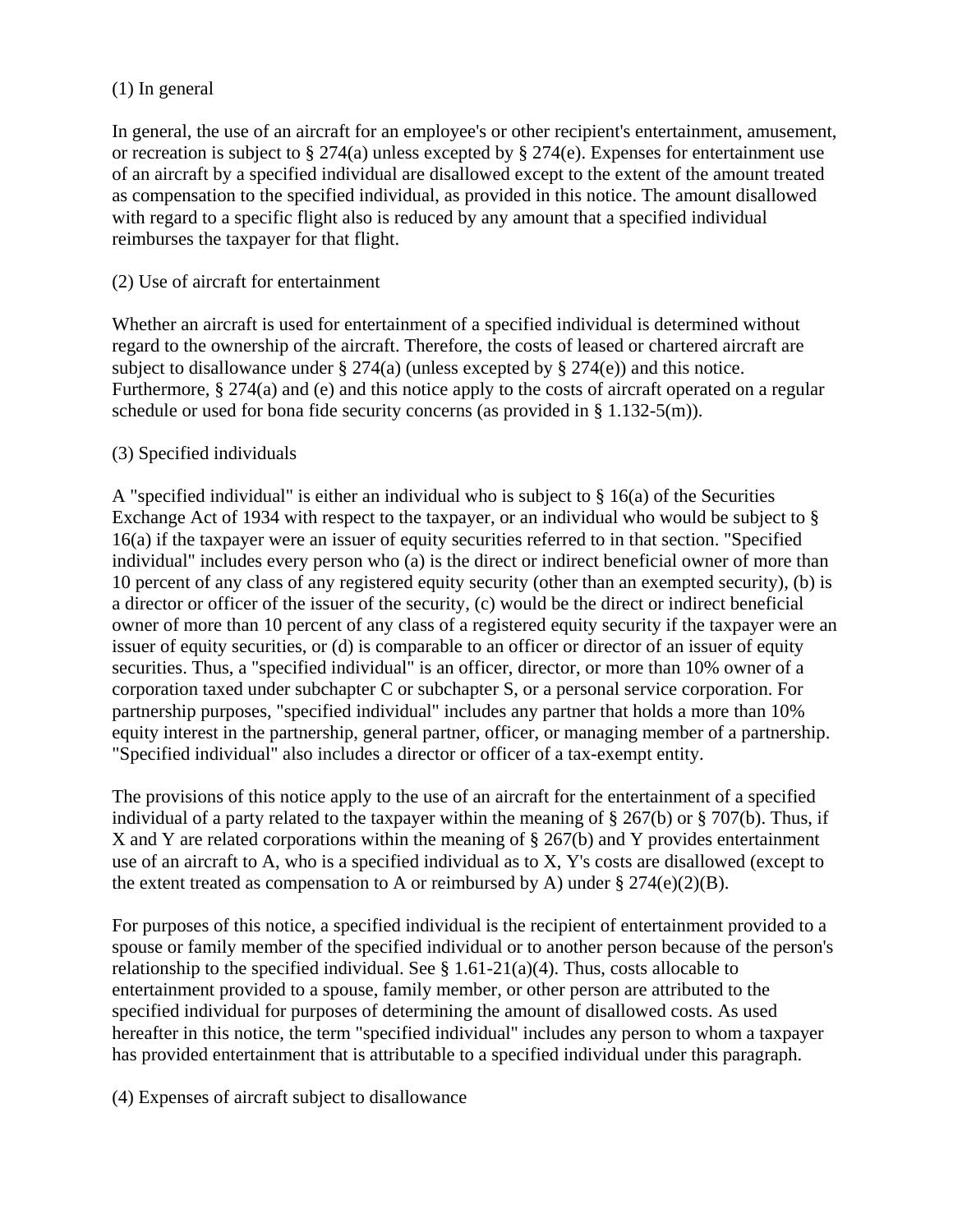### (1) In general

In general, the use of an aircraft for an employee's or other recipient's entertainment, amusement, or recreation is subject to § 274(a) unless excepted by § 274(e). Expenses for entertainment use of an aircraft by a specified individual are disallowed except to the extent of the amount treated as compensation to the specified individual, as provided in this notice. The amount disallowed with regard to a specific flight also is reduced by any amount that a specified individual reimburses the taxpayer for that flight.

### (2) Use of aircraft for entertainment

Whether an aircraft is used for entertainment of a specified individual is determined without regard to the ownership of the aircraft. Therefore, the costs of leased or chartered aircraft are subject to disallowance under § 274(a) (unless excepted by § 274(e)) and this notice. Furthermore, § 274(a) and (e) and this notice apply to the costs of aircraft operated on a regular schedule or used for bona fide security concerns (as provided in § 1.132-5(m)).

### (3) Specified individuals

A "specified individual" is either an individual who is subject to  $\S$  16(a) of the Securities Exchange Act of 1934 with respect to the taxpayer, or an individual who would be subject to § 16(a) if the taxpayer were an issuer of equity securities referred to in that section. "Specified individual" includes every person who (a) is the direct or indirect beneficial owner of more than 10 percent of any class of any registered equity security (other than an exempted security), (b) is a director or officer of the issuer of the security, (c) would be the direct or indirect beneficial owner of more than 10 percent of any class of a registered equity security if the taxpayer were an issuer of equity securities, or (d) is comparable to an officer or director of an issuer of equity securities. Thus, a "specified individual" is an officer, director, or more than 10% owner of a corporation taxed under subchapter C or subchapter S, or a personal service corporation. For partnership purposes, "specified individual" includes any partner that holds a more than 10% equity interest in the partnership, general partner, officer, or managing member of a partnership. "Specified individual" also includes a director or officer of a tax-exempt entity.

The provisions of this notice apply to the use of an aircraft for the entertainment of a specified individual of a party related to the taxpayer within the meaning of § 267(b) or § 707(b). Thus, if X and Y are related corporations within the meaning of § 267(b) and Y provides entertainment use of an aircraft to A, who is a specified individual as to X, Y's costs are disallowed (except to the extent treated as compensation to A or reimbursed by A) under  $\S 274(e)(2)(B)$ .

For purposes of this notice, a specified individual is the recipient of entertainment provided to a spouse or family member of the specified individual or to another person because of the person's relationship to the specified individual. See  $\S 1.61-21(a)(4)$ . Thus, costs allocable to entertainment provided to a spouse, family member, or other person are attributed to the specified individual for purposes of determining the amount of disallowed costs. As used hereafter in this notice, the term "specified individual" includes any person to whom a taxpayer has provided entertainment that is attributable to a specified individual under this paragraph.

(4) Expenses of aircraft subject to disallowance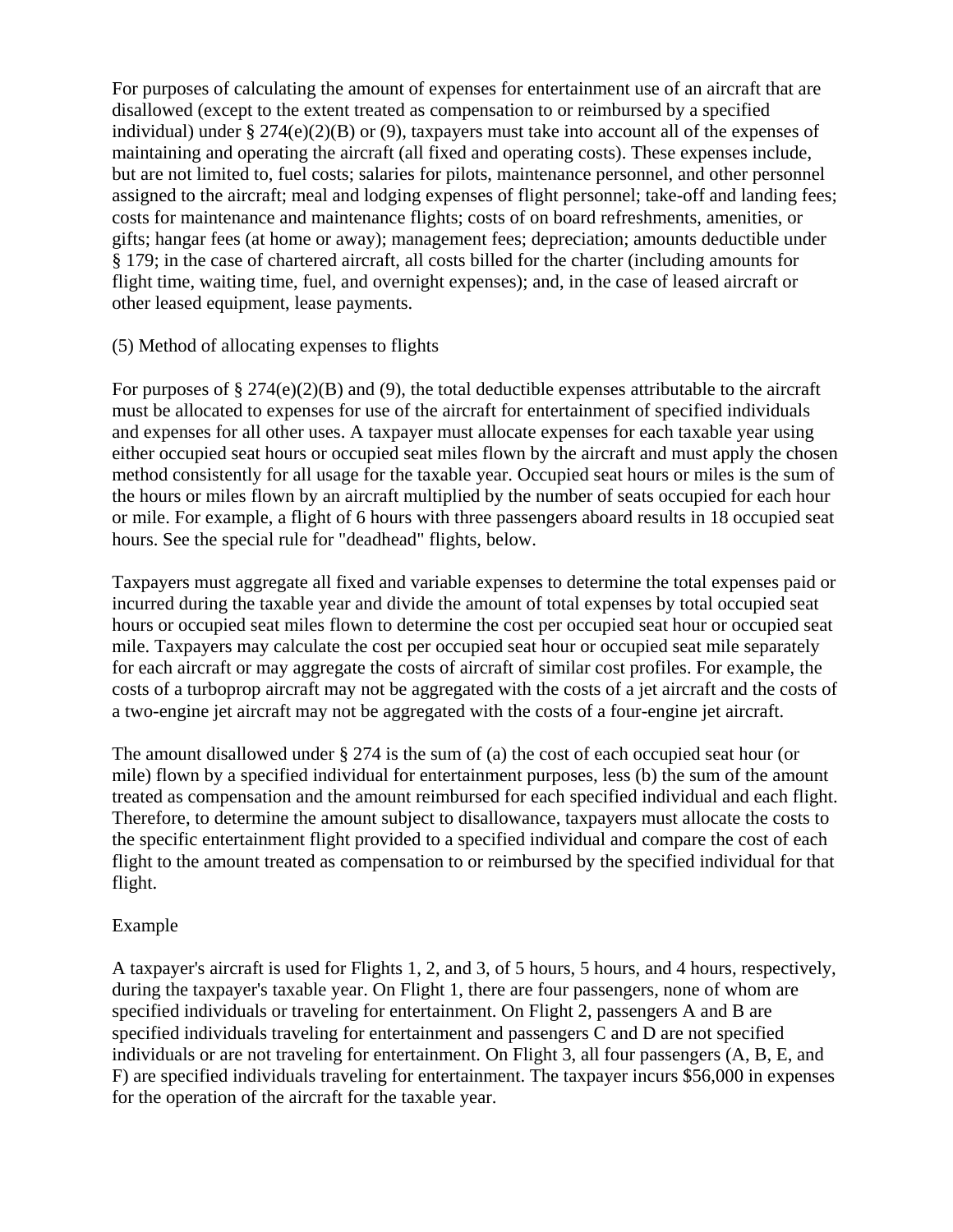For purposes of calculating the amount of expenses for entertainment use of an aircraft that are disallowed (except to the extent treated as compensation to or reimbursed by a specified individual) under § 274(e)(2)(B) or (9), taxpayers must take into account all of the expenses of maintaining and operating the aircraft (all fixed and operating costs). These expenses include, but are not limited to, fuel costs; salaries for pilots, maintenance personnel, and other personnel assigned to the aircraft; meal and lodging expenses of flight personnel; take-off and landing fees; costs for maintenance and maintenance flights; costs of on board refreshments, amenities, or gifts; hangar fees (at home or away); management fees; depreciation; amounts deductible under § 179; in the case of chartered aircraft, all costs billed for the charter (including amounts for flight time, waiting time, fuel, and overnight expenses); and, in the case of leased aircraft or other leased equipment, lease payments.

#### (5) Method of allocating expenses to flights

For purposes of  $\S 274(e)(2)(B)$  and (9), the total deductible expenses attributable to the aircraft must be allocated to expenses for use of the aircraft for entertainment of specified individuals and expenses for all other uses. A taxpayer must allocate expenses for each taxable year using either occupied seat hours or occupied seat miles flown by the aircraft and must apply the chosen method consistently for all usage for the taxable year. Occupied seat hours or miles is the sum of the hours or miles flown by an aircraft multiplied by the number of seats occupied for each hour or mile. For example, a flight of 6 hours with three passengers aboard results in 18 occupied seat hours. See the special rule for "deadhead" flights, below.

Taxpayers must aggregate all fixed and variable expenses to determine the total expenses paid or incurred during the taxable year and divide the amount of total expenses by total occupied seat hours or occupied seat miles flown to determine the cost per occupied seat hour or occupied seat mile. Taxpayers may calculate the cost per occupied seat hour or occupied seat mile separately for each aircraft or may aggregate the costs of aircraft of similar cost profiles. For example, the costs of a turboprop aircraft may not be aggregated with the costs of a jet aircraft and the costs of a two-engine jet aircraft may not be aggregated with the costs of a four-engine jet aircraft.

The amount disallowed under § 274 is the sum of (a) the cost of each occupied seat hour (or mile) flown by a specified individual for entertainment purposes, less (b) the sum of the amount treated as compensation and the amount reimbursed for each specified individual and each flight. Therefore, to determine the amount subject to disallowance, taxpayers must allocate the costs to the specific entertainment flight provided to a specified individual and compare the cost of each flight to the amount treated as compensation to or reimbursed by the specified individual for that flight.

#### Example

A taxpayer's aircraft is used for Flights 1, 2, and 3, of 5 hours, 5 hours, and 4 hours, respectively, during the taxpayer's taxable year. On Flight 1, there are four passengers, none of whom are specified individuals or traveling for entertainment. On Flight 2, passengers A and B are specified individuals traveling for entertainment and passengers C and D are not specified individuals or are not traveling for entertainment. On Flight 3, all four passengers (A, B, E, and F) are specified individuals traveling for entertainment. The taxpayer incurs \$56,000 in expenses for the operation of the aircraft for the taxable year.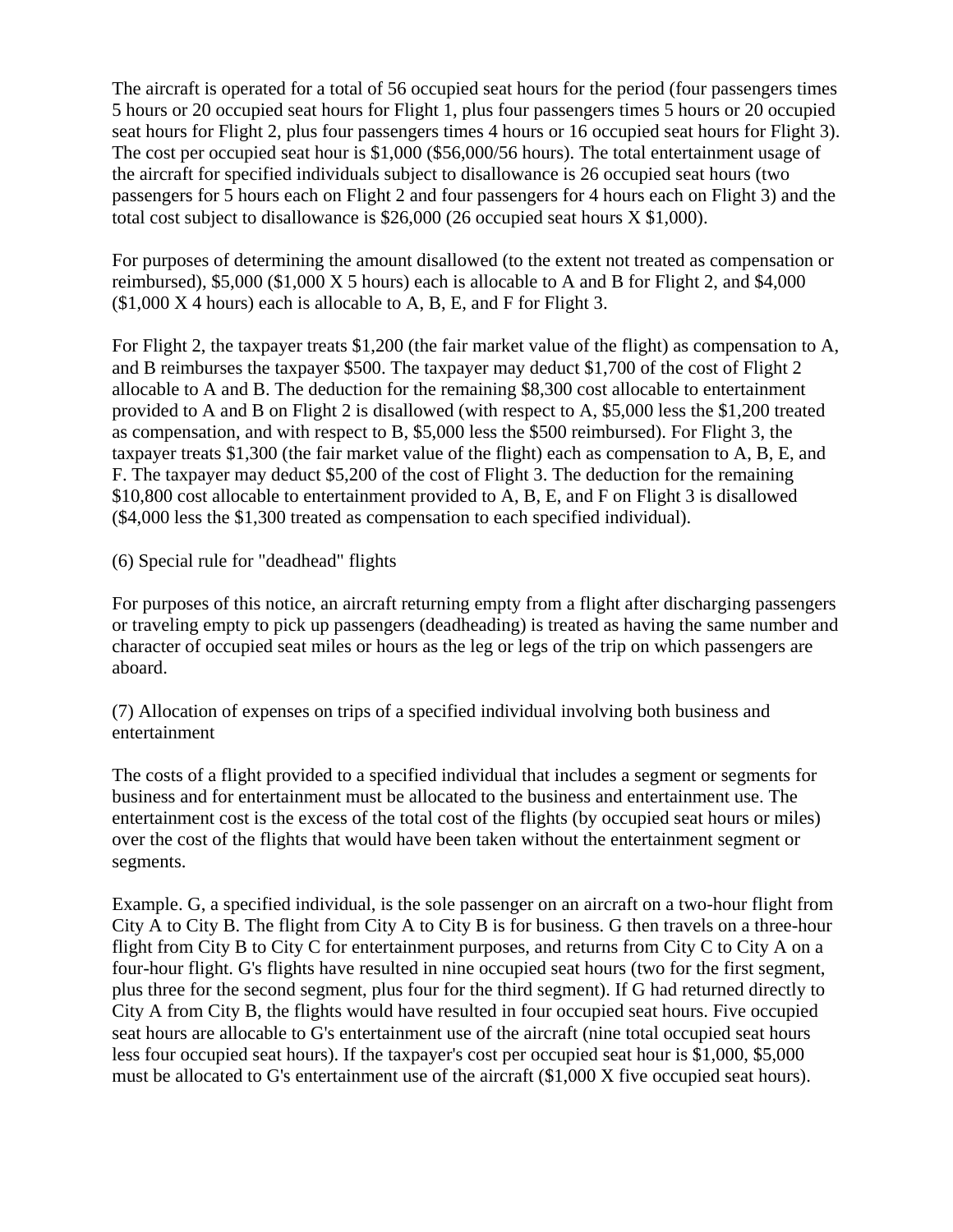The aircraft is operated for a total of 56 occupied seat hours for the period (four passengers times 5 hours or 20 occupied seat hours for Flight 1, plus four passengers times 5 hours or 20 occupied seat hours for Flight 2, plus four passengers times 4 hours or 16 occupied seat hours for Flight 3). The cost per occupied seat hour is \$1,000 (\$56,000/56 hours). The total entertainment usage of the aircraft for specified individuals subject to disallowance is 26 occupied seat hours (two passengers for 5 hours each on Flight 2 and four passengers for 4 hours each on Flight 3) and the total cost subject to disallowance is \$26,000 (26 occupied seat hours X \$1,000).

For purposes of determining the amount disallowed (to the extent not treated as compensation or reimbursed), \$5,000 (\$1,000 X 5 hours) each is allocable to A and B for Flight 2, and \$4,000  $($1,000 X 4 hours)$  each is allocable to A, B, E, and F for Flight 3.

For Flight 2, the taxpayer treats \$1,200 (the fair market value of the flight) as compensation to A, and B reimburses the taxpayer \$500. The taxpayer may deduct \$1,700 of the cost of Flight 2 allocable to A and B. The deduction for the remaining \$8,300 cost allocable to entertainment provided to A and B on Flight 2 is disallowed (with respect to A, \$5,000 less the \$1,200 treated as compensation, and with respect to B, \$5,000 less the \$500 reimbursed). For Flight 3, the taxpayer treats \$1,300 (the fair market value of the flight) each as compensation to A, B, E, and F. The taxpayer may deduct \$5,200 of the cost of Flight 3. The deduction for the remaining \$10,800 cost allocable to entertainment provided to A, B, E, and F on Flight 3 is disallowed (\$4,000 less the \$1,300 treated as compensation to each specified individual).

(6) Special rule for "deadhead" flights

For purposes of this notice, an aircraft returning empty from a flight after discharging passengers or traveling empty to pick up passengers (deadheading) is treated as having the same number and character of occupied seat miles or hours as the leg or legs of the trip on which passengers are aboard.

(7) Allocation of expenses on trips of a specified individual involving both business and entertainment

The costs of a flight provided to a specified individual that includes a segment or segments for business and for entertainment must be allocated to the business and entertainment use. The entertainment cost is the excess of the total cost of the flights (by occupied seat hours or miles) over the cost of the flights that would have been taken without the entertainment segment or segments.

Example. G, a specified individual, is the sole passenger on an aircraft on a two-hour flight from City A to City B. The flight from City A to City B is for business. G then travels on a three-hour flight from City B to City C for entertainment purposes, and returns from City C to City A on a four-hour flight. G's flights have resulted in nine occupied seat hours (two for the first segment, plus three for the second segment, plus four for the third segment). If G had returned directly to City A from City B, the flights would have resulted in four occupied seat hours. Five occupied seat hours are allocable to G's entertainment use of the aircraft (nine total occupied seat hours less four occupied seat hours). If the taxpayer's cost per occupied seat hour is \$1,000, \$5,000 must be allocated to G's entertainment use of the aircraft (\$1,000 X five occupied seat hours).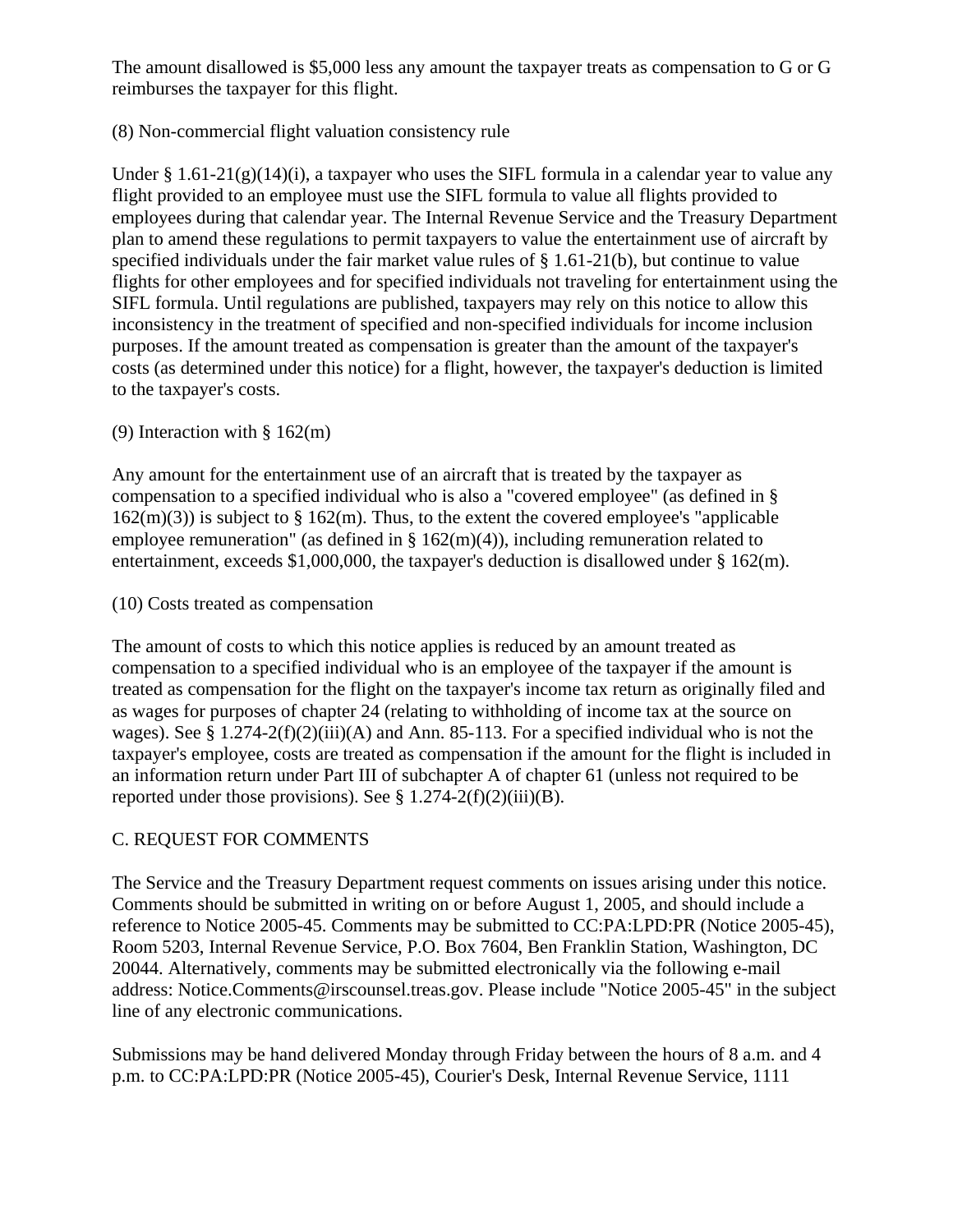The amount disallowed is \$5,000 less any amount the taxpayer treats as compensation to G or G reimburses the taxpayer for this flight.

# (8) Non-commercial flight valuation consistency rule

Under  $\S 1.61-21(g)(14)(i)$ , a taxpayer who uses the SIFL formula in a calendar year to value any flight provided to an employee must use the SIFL formula to value all flights provided to employees during that calendar year. The Internal Revenue Service and the Treasury Department plan to amend these regulations to permit taxpayers to value the entertainment use of aircraft by specified individuals under the fair market value rules of  $\S 1.61-21(b)$ , but continue to value flights for other employees and for specified individuals not traveling for entertainment using the SIFL formula. Until regulations are published, taxpayers may rely on this notice to allow this inconsistency in the treatment of specified and non-specified individuals for income inclusion purposes. If the amount treated as compensation is greater than the amount of the taxpayer's costs (as determined under this notice) for a flight, however, the taxpayer's deduction is limited to the taxpayer's costs.

# (9) Interaction with § 162(m)

Any amount for the entertainment use of an aircraft that is treated by the taxpayer as compensation to a specified individual who is also a "covered employee" (as defined in §  $162(m)(3)$ ) is subject to § 162(m). Thus, to the extent the covered employee's "applicable" employee remuneration" (as defined in  $\S 162(m)(4)$ ), including remuneration related to entertainment, exceeds \$1,000,000, the taxpayer's deduction is disallowed under  $\S 162(m)$ .

(10) Costs treated as compensation

The amount of costs to which this notice applies is reduced by an amount treated as compensation to a specified individual who is an employee of the taxpayer if the amount is treated as compensation for the flight on the taxpayer's income tax return as originally filed and as wages for purposes of chapter 24 (relating to withholding of income tax at the source on wages). See §  $1.274-2(f)(2)(iii)(A)$  and Ann. 85-113. For a specified individual who is not the taxpayer's employee, costs are treated as compensation if the amount for the flight is included in an information return under Part III of subchapter A of chapter 61 (unless not required to be reported under those provisions). See  $\S 1.274-2(f)(2)(iii)(B)$ .

# C. REQUEST FOR COMMENTS

The Service and the Treasury Department request comments on issues arising under this notice. Comments should be submitted in writing on or before August 1, 2005, and should include a reference to Notice 2005-45. Comments may be submitted to CC:PA:LPD:PR (Notice 2005-45), Room 5203, Internal Revenue Service, P.O. Box 7604, Ben Franklin Station, Washington, DC 20044. Alternatively, comments may be submitted electronically via the following e-mail address: Notice.Comments@irscounsel.treas.gov. Please include "Notice 2005-45" in the subject line of any electronic communications.

Submissions may be hand delivered Monday through Friday between the hours of 8 a.m. and 4 p.m. to CC:PA:LPD:PR (Notice 2005-45), Courier's Desk, Internal Revenue Service, 1111